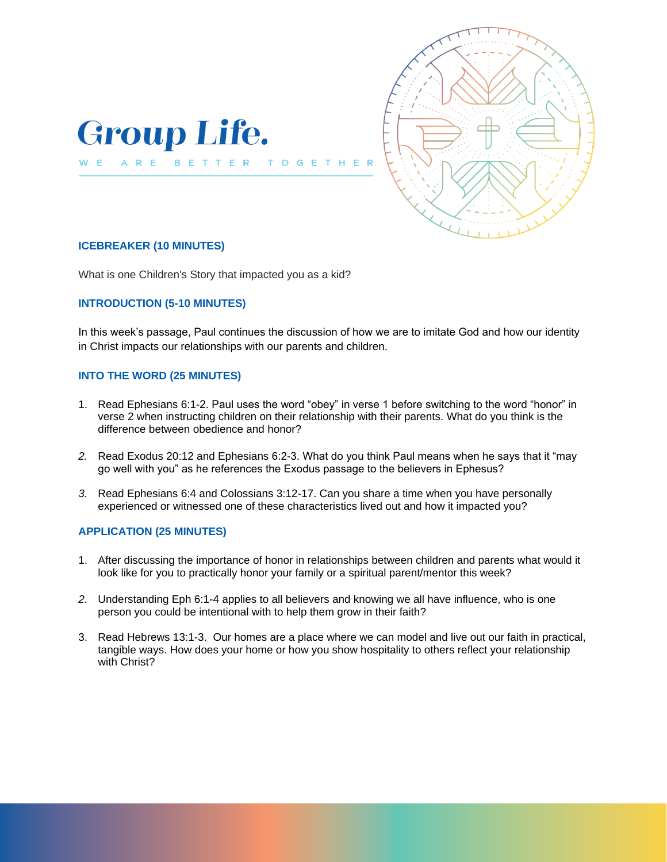



# **ICEBREAKER (10 MINUTES)**

What is one Children's Story that impacted you as a kid?

### **INTRODUCTION (5-10 MINUTES)**

In this week's passage, Paul continues the discussion of how we are to imitate God and how our identity in Christ impacts our relationships with our parents and children.

 $\overline{G}$ 

### **INTO THE WORD (25 MINUTES)**

- 1. Read Ephesians 6:1-2. Paul uses the word "obey" in verse 1 before switching to the word "honor" in verse 2 when instructing children on their relationship with their parents. What do you think is the difference between obedience and honor?
- *2.* Read Exodus 20:12 and Ephesians 6:2-3. What do you think Paul means when he says that it "may go well with you" as he references the Exodus passage to the believers in Ephesus?
- *3.* Read Ephesians 6:4 and Colossians 3:12-17. Can you share a time when you have personally experienced or witnessed one of these characteristics lived out and how it impacted you?

### **APPLICATION (25 MINUTES)**

- 1. After discussing the importance of honor in relationships between children and parents what would it look like for you to practically honor your family or a spiritual parent/mentor this week?
- *2.* Understanding Eph 6:1-4 applies to all believers and knowing we all have influence, who is one person you could be intentional with to help them grow in their faith?
- 3. Read Hebrews 13:1-3. Our homes are a place where we can model and live out our faith in practical, tangible ways. How does your home or how you show hospitality to others reflect your relationship with Christ?